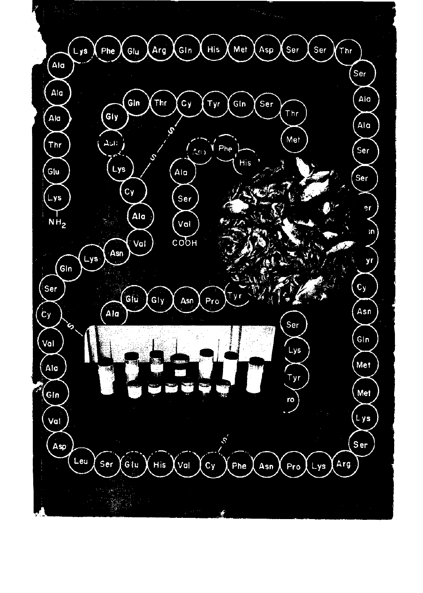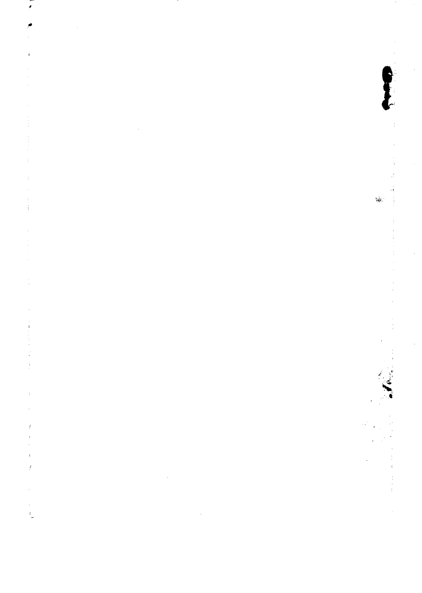ţ. ł. l,  $\begin{array}{c} 1 \\ 1 \\ 2 \\ 3 \end{array}$ Ì, ÿ  $\ddot{\rm g}$  $\epsilon$ 

重音  $\hat{\mathbf{w}}$ 

 $\frac{1}{2}$ 

Ŷ, Ċ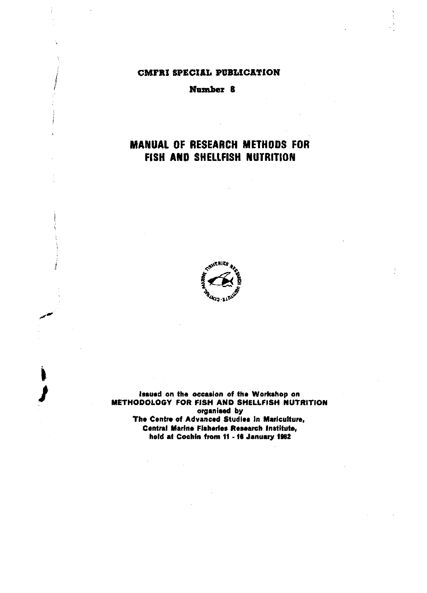# **CMFRI SPECIAL PUBLICATION**

**Number 8** 

# **MANUAL OF RESEARCH METHODS FOR FISH AND SHELLFISH NUTRITION**



**Issued on the occasion of the Workshop on METHODOLOGY FOR FISH AND SHELLFISH NUTRITION organised by The Centre of Advanced Studies in Mariculture, Central Marine Fisheries Research Institute, held at Cochin from 11 -16 January 1982**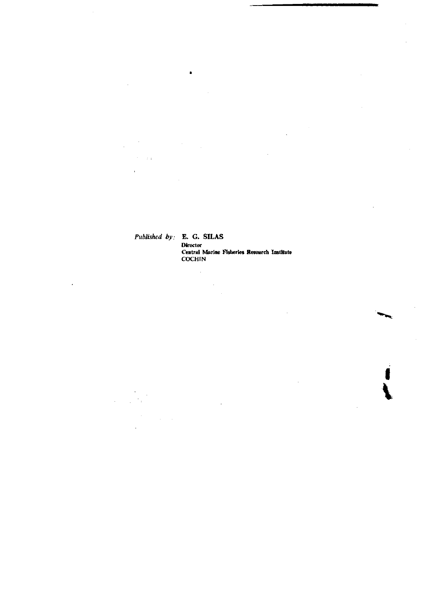Published by: E. G. SILAS Director<br>Central Marine Fisheries Research Institute<br>COCHIN

 $\hat{\mathcal{A}}$ 

 $\bar{z}$ 

 $\hat{\mathcal{L}}_{\text{max}}$ 

 $\hat{\mathcal{A}}$ 

 $\bullet$ 

 $\bar{z}$ 

 $\sim$ 

 $\mathcal{A}$ 

÷.

 $\frac{1}{2}$ 

 $\beta \sim \alpha_0$ 

 $\bar{\alpha}$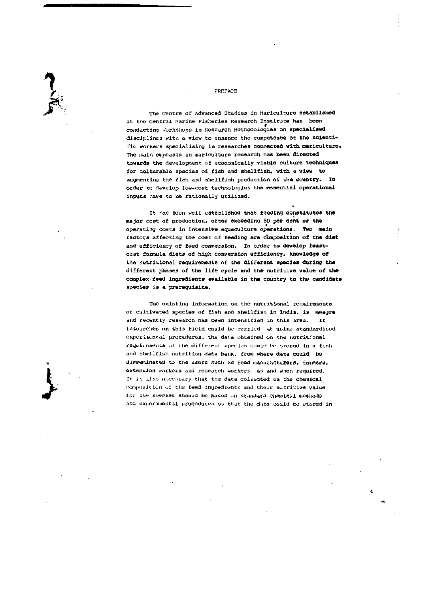#### PREFACE

The Centre of Advanced Studies in Mariculture established at the Central Marine Fisheries Research Institute has been conducting Workshops in Research Methodologies on specialised disciplines with a view to enhance the competence of the scientific workers specialising in researches connected with mariculture. The main emphasis in mariculture research has been directed towards the development of economically viable culture techniques for culturable species of fish and shellfish, with a view to augmenting the fish and shellfish production of the country. In order to develop low-cost technologies the essential operational inputs have to be rationally utilized.

It has been well established that feeding constitutes the major cost of production, often exceeding 50 per cent of the operating costs in intensive aquaculture operations. Two main factors affecting the cost of feeding are composition of the **diet**  and efficiency of feed conversion. In order to develop leastcost formula diets of high conversion efficiency, knowledge of the nutritional requirements of the different species during the different phases of the life cycle and the nutritive value of **the**  complex feed ingredients available in the country to the candidate species is a prerequisite.

+

The existing information on the nutritional requirements of cultivated species of fish and shellfish in India, is meagre and recently research has been intensified in this area. If researches on this field could be carried out using standardised experimental procedures, the data obtained on the nutritional requirements ot the different species could be stored in a fish and shellfish nutrition data bank, from where data could be disseminated to the users such as feed manufacturers, farmers, extension workers and research workers as and when required. It. is also necessary that the data collected on the chemical composition of the feed ingredients and their nutritive value tor the species should be based un standard chemical methods and experimental procedures so that the data could be stored in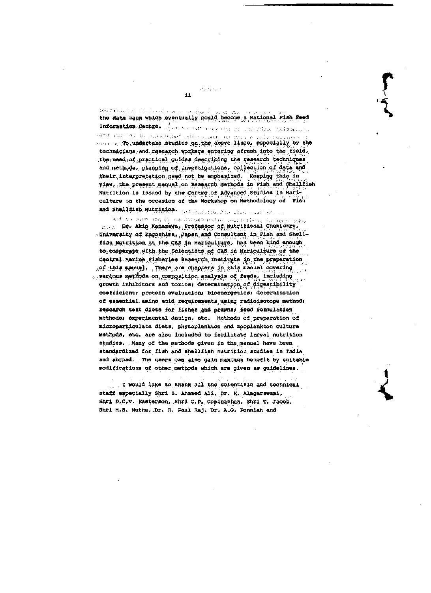$\label{eq:1} \Omega^2(\alpha^2\mathbb{N})\propto \lambda^2\mathbb{N}^2\sigma^{-2}e^{2\alpha\mathbb{N}^2}\quad \Omega^2(\mathbb{Z},\mathbb{Z})\times \mathbb{R}^2\left(\mathbb{Z}^2\right)\times \mathbb{R}^2\left(\mathbb{Z}^2\right)\times \mathbb{R}^2\left(\mathbb{R}^2\right).$ and chairman alah sebagai the data bank which eventually could become a National Fish Reed  $\texttt{Infermaticon}(\texttt{Comp} \star \texttt{e}) \xrightarrow{\delta} \texttt{e}(\texttt{e}) \xrightarrow{\delta} \texttt{e}(\texttt{e}) \xrightarrow{\delta} \texttt{e}(\texttt{e}) \xrightarrow{\delta} \texttt{e}(\texttt{e}) \xrightarrow{\delta} \texttt{e}(\texttt{e}) \xrightarrow{\delta} \texttt{e}(\texttt{e}) \xrightarrow{\delta} \texttt{e}(\texttt{e}) \xrightarrow{\delta} \texttt{e}(\texttt{e}) \xrightarrow{\delta} \texttt{e}(\texttt{e}) \xrightarrow{\delta} \texttt{e}(\texttt{e}) \xrightarrow{\delta} \texttt{e}(\texttt{e$ 

elimet voor 1984, des multatengikke eeld eulepade ees Moud en polis formation. To undertake atudies on the above lines, especially by the technicians, and research workers entering afresh into the field. the need of practical guides describing the research techniques and methods, planning of investigations, collection of data and their interpretation need not be emphasized. Keeping this in View, the present manual on Research Methods in Fish and Shellfish Nutrition is issued by the Centre of Advanced Studies in Mariculture on the occasion of the Workshop on Methodology of Fish and shellfish Nutrition. Installation that well and

and all their son (? equiparous paths) politicity in free makes mind. Pr. Akio Kanazawa, Professor of Nutritional Chemistry, .University of Kagoshima, Japan and Consultant in Fish and Shellfice Nutrition at the CAS in Mariculture, has been kind enough to cooperate with the Scientists of CAS in Mariculture of the Central Marine Fisheries Research Institute in the preparation .of this manuel. There are chapters in this manual covering s various methods on composition analysis of feeds, including growth inhibitors and toxins; determination of digestibility coefficient; protein evaluation; bioenergetics; determination of essential amino acid requirements using radioisotope method; research test diets for fishes and prawns; feed formulation methods; experimental design, etc. Methods of preparation of microparticulate diets, phytoplankton and zooplankton culture methods, etc. are also included to facilitate larval nutrition studies. Many of the methods given in the manual have been standardized for fish and shellfish nutrition studies in India and abroad. The users can also gain maximum benefit by suitable modifications of other methods which are given as guidelines.

I would like to thank all the scientific and technical staff especially Shri S. Ahamed Ali, Dr. K. Alagarswami, Shri D.C.V. Easterson, Shri C.P. Gopinathan, Shri T. Jacob, Shri M.S. Muthu, Dr. R. Paul Raj, Dr. A.G. Ponniah and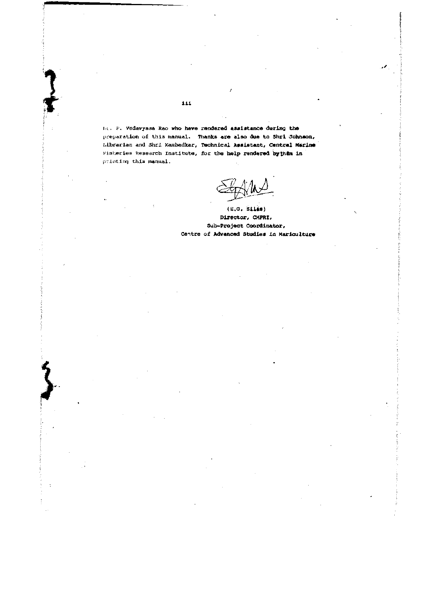*in:,* p. vedavyasa Rao **who have rendered assistance during the**  preparation of this manual. **Thanks are also due to Shri Johnson,**  Librarian and shri Kambadkar, **Technical Assistant, Central Marine**  Fisheries Research institute, for the **help rendered bythtra in**  printing this manual.

/

(E.G. **Silas) Director, CMPRI , Sub-Project Coordinator,**  Centre of **Advanced studies in Maricultuce** 

**ill**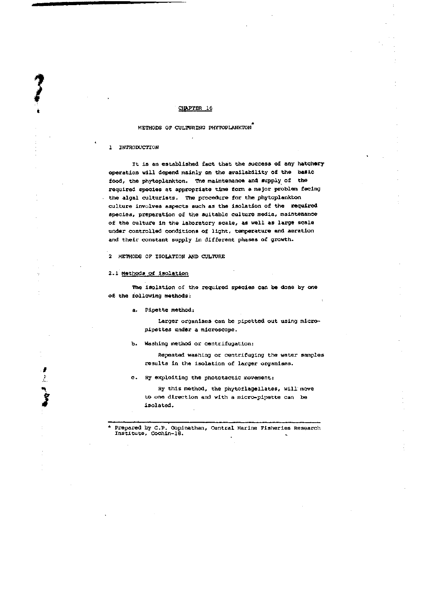#### CHAPTER 16

METHODS OF CULTURING PHYTOPLANKTON

# 1 INTRODUCTION

It is an established fact that the success of any hatchery operation will depend mainly on the availability of the basic food, the phytoplankton. The maintenance and supply of the required species at appropriate time form a major problem facing the algal culturists. The procedure for the phytoplankton culture involves aspects such as the isolation of the required species, preparation of the suitable culture media, maintenance of the culture in the laboratory scale, as well as large scale under controlled conditions of light, temperature and aeration and their constant supply in different phases of growth.

2 METHODS OP ISOLATION AND CULTURE

#### 2.1 Methods of Isolation

The isolation of the required species can be done by one of the following methods:

a. Pipette method:

Larger organisms can be pipetted out using micropipettes under a microscope.

b. Washing method or centrifugation:

Repeated washing or centrifuging the water samples results in the Isolation of larger organisms.

c. By exploiting the phototactic movement:

By this method, the phytoflagellates, will move to one direction and with a micro-pipette can be isolated.

\* Prepared by C.P. Gopinathan, Central Marine Fisheries Research Institute, Cochin-18.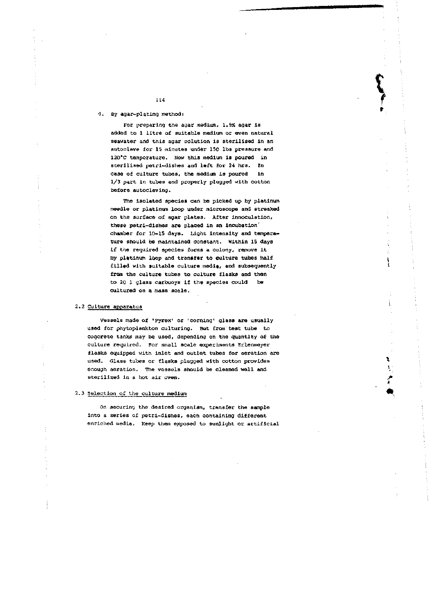# d. By agar-plating method:

For preparing the agar medium, 1.5% agar is added to 1 litre of suitable medium or even natural seawater and this agar solution is sterilised in an autoclave for 15 minutes under 150 lbs pressure and 120°C temperature. Now this medium is poured in sterilised petri-dishes and left for 24 hrs. In case of culture tubes, the medium is poured in 1/3 part in tubes and properly plugged with cotton before autoclaving.

The isolated species can be picked up by platinum needle or platinum loop under microscope and streaked on the surface of agar plates. After innoculation, these petri-dishes are placed in an incubation $^{\circ}$ chamber for 10-15 days. Light intensity and temperature should be maintained constant. Within 15 days if the required species forms a colony, remove it by platinum loop and transfer to culture tubes half filled with suitable culture media, and subsequently from the culture tubes to culture flasks and then to 20 1 glass carbuoys if the species could be cultured on a mass scale.

#### 2.2 Culture apparatus

vessels made of 'Pyrex' or 'corning' glass are usually used for phytoplankton culturing. But from test tube to concrete tanks may be used, depending on the quantity of the culture required. For small scale experiments Erlenmeyer flasks equipped with inlet and outlet tubes for aeration are used. Glass tubes or flasks plugged with cotton provides enough aeration. The vessels should be cleaned well and sterilized in a hot air oven.

## 2.3 Selection of the culture medium

on securing the desired organism, transfer the sample into a series of petri-dishes, each containing different enriched media. Keep them exposed to sunlight or artificial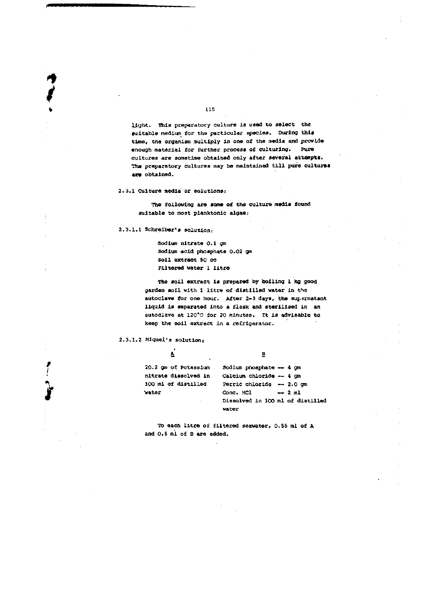light. This preparatory culture is used to select the suitable medium for the particular species. During this time, the organism multiply in one of the media and provide enough material for further process of culturing. Pure cultures are sometime obtained only after several attempts, The preparatory cultures may be maintained till pure cultures are obtained.

2.3.1 Culture media or solutions:

The following are some of the culture media found suitable to most planktonic algae:

2.3.1.1 Schrelber's solution:

Sodium nitrate 0.1 gm Sodium acid phosphate 0.02 gm Soil extract 50 cc Filtered water 1 litre

The soil extract is prepared by boiling 1 Kg good garden soil with 1 litre of distilled water in the autoclave for one hour. After 2-3 days, the supernatant liquid is separated into a flask and sterilised in an autoclave at 120°C for 20 minutes. It is advisable to keep the soil extract in a refrigerator.

2.3.1.2 Miquel's solution:

20.2 gm of Potassium Sodium phosphate — 4 gm nitrate dissolved in Calcium chloride — 4 gm 100 ml of distilled Ferric chloride — 2.0 gm water Conc. HCl -- 2 ml Dissolved in 100 ml of distilled water

To each litre of filtered seawater, 0.55 ml of A and 0.5 ml of B are added.

 $\Delta$  B

115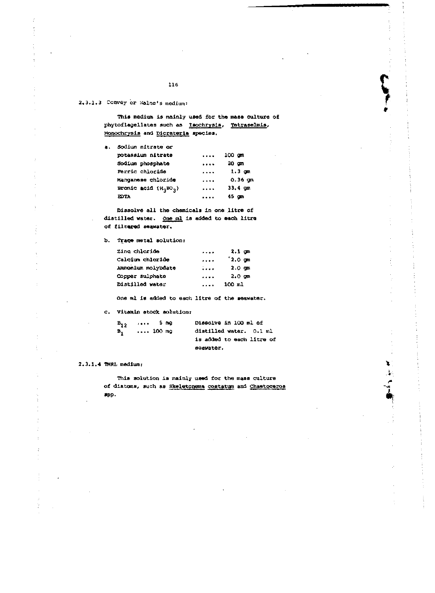# 2.3.1.3 Convey or Maine's medium:

This medium is mainly used for the mass culture of phytoflagellates such as **Isochrysis**, Tetraselmis, Monochrysls and Dicrateria species.

a. Sodium nitrate or potassium nitrate 100 gm  $\cdots$ Sodium phosphate 20 gm  $\ldots$ Ferric chioride 1.3 gm  $\ldots$ Manganese chloride  $\cdots$ 0.36 gm Bromic acid  $(H_3BO_3)$ 33.4 gm  $\ldots$ EDTA 45 gm  $\ldots$ 

Dissolve all the chemicals in one litre of distilled water. One ml is added to each litre of filtered seawater.

# b. Trace metal solution:

| Zine chloride      |          | $2.1 \text{ cm}$ |
|--------------------|----------|------------------|
| Calcium chloride   |          | ້2.0 cm          |
| Ammonium molybdate | .        | $2.0 \,$ cm      |
| Copper sulphate    | $\cdots$ | $2.0 \,$ gm      |
| Distilled water    | $\cdots$ | 100 ml           |

 $\frac{1}{2}$ 

One ml is added to each litre of the seawater.

Vitamin stock solution:

|    | $B_{12}$ 5 mg   | Dissolve in 100 ml of     |
|----|-----------------|---------------------------|
| э, | $\cdots$ 100 mg | distilled water. 0.1 ml   |
|    |                 | is added to each litre of |
|    |                 | seawater.                 |

#### 2.3.1.4 TMRL medium:

This solution is mainly used for the mass culture of diatoms, such as skeletonema costatum and Chaetoceros spp.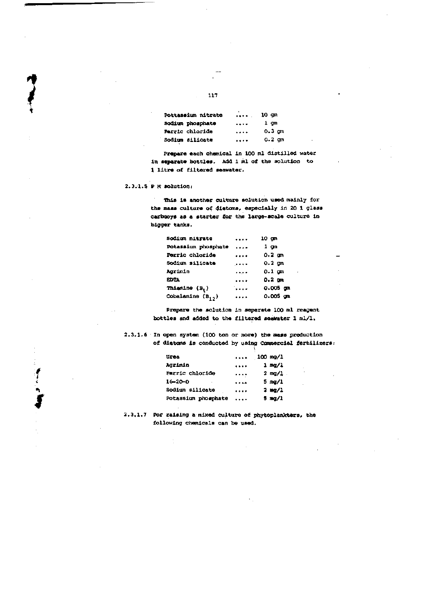| Pottassium nitrate     |          | 10 gm    |
|------------------------|----------|----------|
| Sodium phosphate       | $\cdots$ | ւ գո     |
| <b>Farric chloride</b> |          | $0.3$ gm |
| <b>Sodium silicate</b> | $\cdots$ | 0.2 cm   |

**Prepare each chemical in 100 ml distilled water in separate bottles. Add 1 ml of the solution to 1 litre of filtered seawater.** 

### **2.3.1.5 p M solutioni**

This is another culture solution used mainly for **the mass culture of diatoms, especially in 20 1 glass carbuoys as a starter for the large-scale culture in bigger tanks.** 

| Sodium nitrate         |          | 10 gm       |
|------------------------|----------|-------------|
| Potassium phosphate    | .        | 1 gm        |
| Ferric chloride        |          | $0.2 \,$ gm |
| Sodium silicate        | $\cdots$ | $0.2$ gm    |
| Agrimin                | $\cdots$ | $0.1$ cm    |
| <b>EDTA</b>            |          | $0.2$ cm    |
| Thiamine $(B_1)$       | .        | $0.005$ gm  |
| Cobalamine $(B_{1,2})$ |          | 0.005 cm    |

**Prepare the solution in separate 100 ml reagent bottles and added to the filtered seawater 1 ml/1.** 

**2.3.1.6 In open system (100 ton or more) the mass production of diatoms is conducted by using Commercial fertilizers:** 

| Urea                   | $\cdots$ | $100 \, \text{mg}/1$ |
|------------------------|----------|----------------------|
| Aqrimin                |          | 1 mg/l               |
| Ferric chloride        |          | $2 \text{ mg}/1$ .   |
| 16–20–0<br>٠           |          | $5 \text{ mg}/1$     |
| <b>Sodium silicate</b> |          | 2 mg/1               |
| Potassium phosphate    |          | 5 mg/l               |

**2.3,1.7 For raising a mixed culture of phytoplanXters, the following chemicals can be used.**